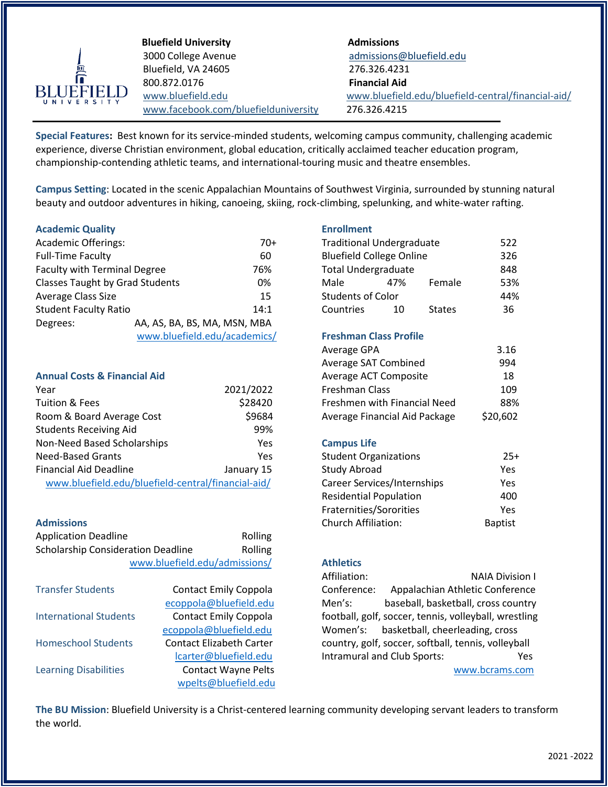

**Bluefield University Admissions** 3000 College Avenue [admissions@bluefield.edu](mailto:admissions@bluefield.edu) Bluefield, VA 24605 276.326.4231 800.872.0176 **Financial Aid** [www.facebook.com/bluefielduniversity](http://www.facebook.com/bluefielduniversity) 276.326.4215

www[.bluefield.edu](http://www.bluefield.edu/) www.bluefield.edu/bluefield-central/financial-aid/

**Special Features:** Best known for its service-minded students, welcoming campus community, challenging academic experience, diverse Christian environment, global education, critically acclaimed teacher education program, championship-contending athletic teams, and international-touring music and theatre ensembles.

**Campus Setting**: Located in the scenic Appalachian Mountains of Southwest Virginia, surrounded by stunning natural beauty and outdoor adventures in hiking, canoeing, skiing, rock-climbing, spelunking, and white-water rafting.

# **Academic Quality Enrollment**

| <b>Academic Offerings:</b>             |                              | 70+  | <b>Traditional Undergraduate</b> |     | 522           |     |  |
|----------------------------------------|------------------------------|------|----------------------------------|-----|---------------|-----|--|
| <b>Full-Time Faculty</b>               |                              | 60   | <b>Bluefield College Online</b>  |     | 326           |     |  |
| <b>Faculty with Terminal Degree</b>    |                              | 76%  | <b>Total Undergraduate</b>       |     | 848           |     |  |
| <b>Classes Taught by Grad Students</b> |                              | 0%   | Male                             | 47% | Female        | 53% |  |
| Average Class Size                     |                              | 15   | <b>Students of Color</b>         |     | 44%           |     |  |
| <b>Student Faculty Ratio</b>           |                              | 14:1 | Countries                        | 10  | <b>States</b> | 36  |  |
| Degrees:                               | AA, AS, BA, BS, MA, MSN, MBA |      |                                  |     |               |     |  |
|                                        | www.bluefield.edu/academics/ |      | <b>Freshman Class Profile</b>    |     |               |     |  |

# **Annual Costs & Financial Aid**

|                                                    |                                    | 109            |
|----------------------------------------------------|------------------------------------|----------------|
| \$28420                                            | Freshmen with Financial Need       | 88%            |
| \$9684                                             | Average Financial Aid Package      | \$20,602       |
| 99%                                                |                                    |                |
| Yes                                                | <b>Campus Life</b>                 |                |
| Yes                                                | <b>Student Organizations</b>       | $25+$          |
| January 15                                         | Study Abroad                       | Yes            |
| www.bluefield.edu/bluefield-central/financial-aid/ | <b>Career Services/Internships</b> | Yes            |
|                                                    | 2021/2022                          | Freshman Class |

| <b>Application Deadline</b>               | Rolling                                                  |                                 |
|-------------------------------------------|----------------------------------------------------------|---------------------------------|
| <b>Scholarship Consideration Deadline</b> | Rolling                                                  |                                 |
|                                           | www.bluefield.edu/admissions/                            | <b>Athletics</b><br>Affiliation |
| <b>Transfer Students</b>                  | <b>Contact Emily Coppola</b><br>ecoppola@bluefield.edu   | Conferer<br>Men's:              |
| <b>International Students</b>             | <b>Contact Emily Coppola</b><br>ecoppola@bluefield.edu   | football,<br>Women's            |
| <b>Homeschool Students</b>                | <b>Contact Elizabeth Carter</b><br>lcarter@bluefield.edu | country,<br>Intramur            |
| <b>Learning Disabilities</b>              | <b>Contact Wayne Pelts</b><br>wpelts@bluefield.edu       |                                 |

| <b>Traditional Undergraduate</b> |     |               |     |
|----------------------------------|-----|---------------|-----|
| <b>Bluefield College Online</b>  | 326 |               |     |
| <b>Total Undergraduate</b>       |     |               |     |
| Male                             | 47% | Female        | 53% |
| <b>Students of Color</b>         |     |               |     |
| Countries                        | 10  | <b>States</b> | 36  |
|                                  |     |               |     |

# **Freshman Class Profile**

| Average GPA                   | 3.16     |
|-------------------------------|----------|
| Average SAT Combined          | 994      |
| Average ACT Composite         | 18       |
| Freshman Class                | 109      |
| Freshmen with Financial Need  | 88%      |
| Average Financial Aid Package | \$20,602 |

# **Campus Life**

| <b>Need-Based Grants</b>                           | Yes        | <b>Student Organizations</b>       | $25+$          |
|----------------------------------------------------|------------|------------------------------------|----------------|
| <b>Financial Aid Deadline</b>                      | January 15 | Study Abroad                       | Yes.           |
| www.bluefield.edu/bluefield-central/financial-aid/ |            | <b>Career Services/Internships</b> | Yes.           |
|                                                    |            | <b>Residential Population</b>      | 400            |
|                                                    |            | Fraternities/Sororities            | Yes.           |
| <b>Admissions</b>                                  |            | <b>Church Affiliation:</b>         | <b>Baptist</b> |

Affiliation: NAIA Division I Conference: Appalachian Athletic Conference Men's: baseball, basketball, cross country football, golf, soccer, tennis, volleyball, wrestling Women's: basketball, cheerleading, cross country, golf, soccer, softball, tennis, volleyball Intramural and Club Sports: Yes [www.bcrams.com](http://www.bcrams.com/)

**The BU Mission**: Bluefield University is a Christ-centered learning community developing servant leaders to transform the world.